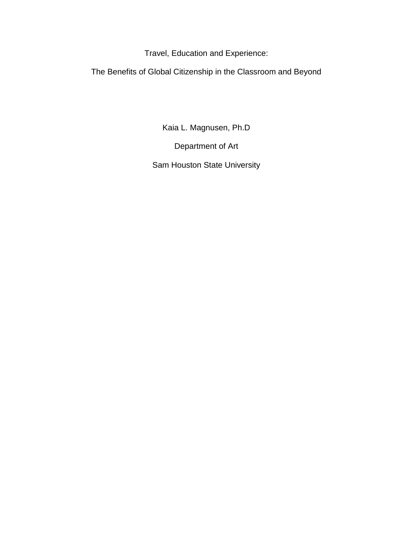Travel, Education and Experience:

The Benefits of Global Citizenship in the Classroom and Beyond

Kaia L. Magnusen, Ph.D

Department of Art

Sam Houston State University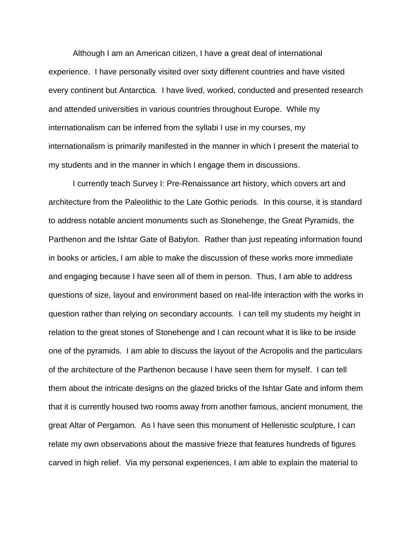Although I am an American citizen, I have a great deal of international experience. I have personally visited over sixty different countries and have visited every continent but Antarctica. I have lived, worked, conducted and presented research and attended universities in various countries throughout Europe. While my internationalism can be inferred from the syllabi I use in my courses, my internationalism is primarily manifested in the manner in which I present the material to my students and in the manner in which I engage them in discussions.

I currently teach Survey I: Pre-Renaissance art history, which covers art and architecture from the Paleolithic to the Late Gothic periods. In this course, it is standard to address notable ancient monuments such as Stonehenge, the Great Pyramids, the Parthenon and the Ishtar Gate of Babylon. Rather than just repeating information found in books or articles, I am able to make the discussion of these works more immediate and engaging because I have seen all of them in person. Thus, I am able to address questions of size, layout and environment based on real-life interaction with the works in question rather than relying on secondary accounts. I can tell my students my height in relation to the great stones of Stonehenge and I can recount what it is like to be inside one of the pyramids. I am able to discuss the layout of the Acropolis and the particulars of the architecture of the Parthenon because I have seen them for myself. I can tell them about the intricate designs on the glazed bricks of the Ishtar Gate and inform them that it is currently housed two rooms away from another famous, ancient monument, the great Altar of Pergamon. As I have seen this monument of Hellenistic sculpture, I can relate my own observations about the massive frieze that features hundreds of figures carved in high relief. Via my personal experiences, I am able to explain the material to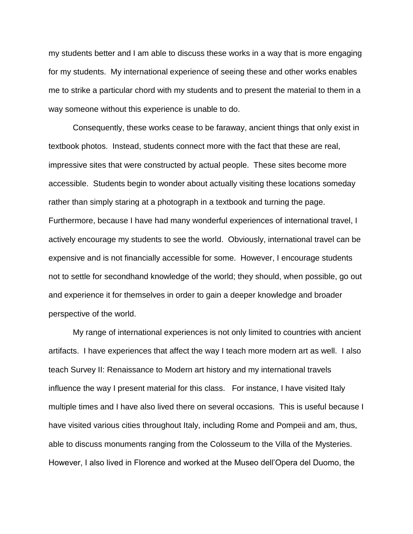my students better and I am able to discuss these works in a way that is more engaging for my students. My international experience of seeing these and other works enables me to strike a particular chord with my students and to present the material to them in a way someone without this experience is unable to do.

Consequently, these works cease to be faraway, ancient things that only exist in textbook photos. Instead, students connect more with the fact that these are real, impressive sites that were constructed by actual people. These sites become more accessible. Students begin to wonder about actually visiting these locations someday rather than simply staring at a photograph in a textbook and turning the page. Furthermore, because I have had many wonderful experiences of international travel, I actively encourage my students to see the world. Obviously, international travel can be expensive and is not financially accessible for some. However, I encourage students not to settle for secondhand knowledge of the world; they should, when possible, go out and experience it for themselves in order to gain a deeper knowledge and broader perspective of the world.

My range of international experiences is not only limited to countries with ancient artifacts. I have experiences that affect the way I teach more modern art as well. I also teach Survey II: Renaissance to Modern art history and my international travels influence the way I present material for this class. For instance, I have visited Italy multiple times and I have also lived there on several occasions. This is useful because I have visited various cities throughout Italy, including Rome and Pompeii and am, thus, able to discuss monuments ranging from the Colosseum to the Villa of the Mysteries. However, I also lived in Florence and worked at the Museo dell'Opera del Duomo, the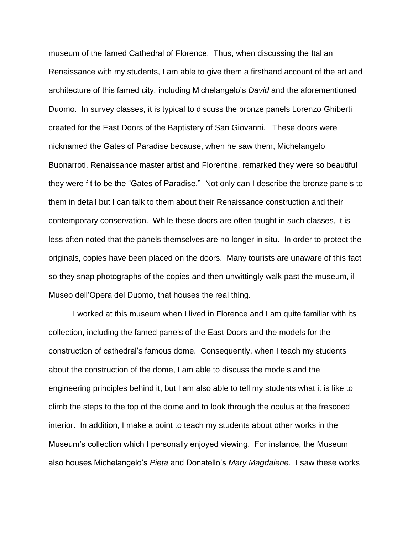museum of the famed Cathedral of Florence. Thus, when discussing the Italian Renaissance with my students, I am able to give them a firsthand account of the art and architecture of this famed city, including Michelangelo's *David* and the aforementioned Duomo. In survey classes, it is typical to discuss the bronze panels Lorenzo Ghiberti created for the East Doors of the Baptistery of San Giovanni. These doors were nicknamed the Gates of Paradise because, when he saw them, Michelangelo Buonarroti, Renaissance master artist and Florentine, remarked they were so beautiful they were fit to be the "Gates of Paradise." Not only can I describe the bronze panels to them in detail but I can talk to them about their Renaissance construction and their contemporary conservation. While these doors are often taught in such classes, it is less often noted that the panels themselves are no longer in situ. In order to protect the originals, copies have been placed on the doors. Many tourists are unaware of this fact so they snap photographs of the copies and then unwittingly walk past the museum, il Museo dell'Opera del Duomo, that houses the real thing.

I worked at this museum when I lived in Florence and I am quite familiar with its collection, including the famed panels of the East Doors and the models for the construction of cathedral's famous dome. Consequently, when I teach my students about the construction of the dome, I am able to discuss the models and the engineering principles behind it, but I am also able to tell my students what it is like to climb the steps to the top of the dome and to look through the oculus at the frescoed interior. In addition, I make a point to teach my students about other works in the Museum's collection which I personally enjoyed viewing. For instance, the Museum also houses Michelangelo's *Pieta* and Donatello's *Mary Magdalene.* I saw these works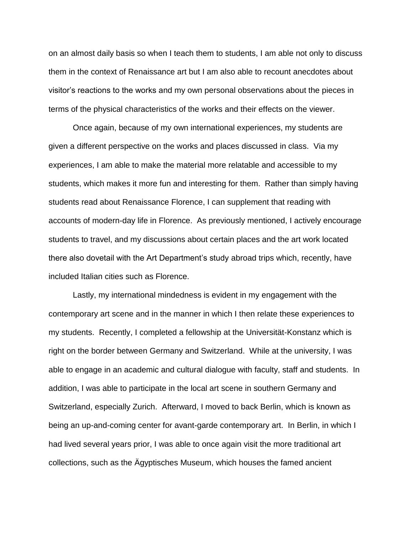on an almost daily basis so when I teach them to students, I am able not only to discuss them in the context of Renaissance art but I am also able to recount anecdotes about visitor's reactions to the works and my own personal observations about the pieces in terms of the physical characteristics of the works and their effects on the viewer.

Once again, because of my own international experiences, my students are given a different perspective on the works and places discussed in class. Via my experiences, I am able to make the material more relatable and accessible to my students, which makes it more fun and interesting for them. Rather than simply having students read about Renaissance Florence, I can supplement that reading with accounts of modern-day life in Florence. As previously mentioned, I actively encourage students to travel, and my discussions about certain places and the art work located there also dovetail with the Art Department's study abroad trips which, recently, have included Italian cities such as Florence.

Lastly, my international mindedness is evident in my engagement with the contemporary art scene and in the manner in which I then relate these experiences to my students. Recently, I completed a fellowship at the Universität-Konstanz which is right on the border between Germany and Switzerland. While at the university, I was able to engage in an academic and cultural dialogue with faculty, staff and students. In addition, I was able to participate in the local art scene in southern Germany and Switzerland, especially Zurich. Afterward, I moved to back Berlin, which is known as being an up-and-coming center for avant-garde contemporary art. In Berlin, in which I had lived several years prior, I was able to once again visit the more traditional art collections, such as the Ägyptisches Museum, which houses the famed ancient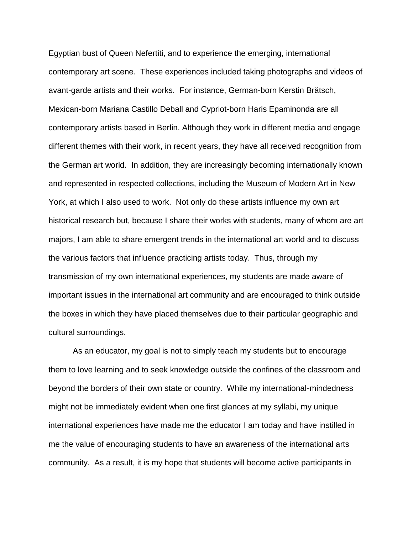Egyptian bust of Queen Nefertiti, and to experience the emerging, international contemporary art scene. These experiences included taking photographs and videos of avant-garde artists and their works. For instance, German-born Kerstin Brätsch, Mexican-born Mariana Castillo Deball and Cypriot-born Haris Epaminonda are all contemporary artists based in Berlin. Although they work in different media and engage different themes with their work, in recent years, they have all received recognition from the German art world. In addition, they are increasingly becoming internationally known and represented in respected collections, including the Museum of Modern Art in New York, at which I also used to work. Not only do these artists influence my own art historical research but, because I share their works with students, many of whom are art majors, I am able to share emergent trends in the international art world and to discuss the various factors that influence practicing artists today. Thus, through my transmission of my own international experiences, my students are made aware of important issues in the international art community and are encouraged to think outside the boxes in which they have placed themselves due to their particular geographic and cultural surroundings.

As an educator, my goal is not to simply teach my students but to encourage them to love learning and to seek knowledge outside the confines of the classroom and beyond the borders of their own state or country. While my international-mindedness might not be immediately evident when one first glances at my syllabi, my unique international experiences have made me the educator I am today and have instilled in me the value of encouraging students to have an awareness of the international arts community. As a result, it is my hope that students will become active participants in